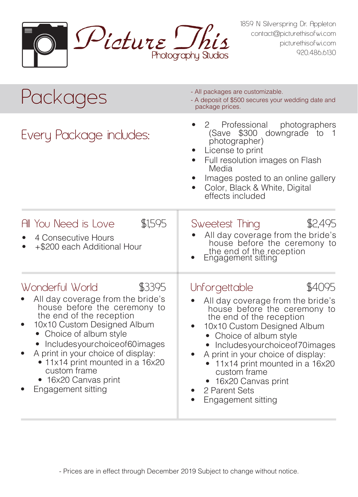

1859 N Silverspring Dr. Appleton contact@picturethisofwi.com picturethisofwi.com 920.486.6130

| Packages                                                                                                                                                                                                                                                                                                                                                   | - All packages are customizable.<br>- A deposit of \$500 secures your wedding date and<br>package prices.                                                                                                                                                                                                                                                                       |  |
|------------------------------------------------------------------------------------------------------------------------------------------------------------------------------------------------------------------------------------------------------------------------------------------------------------------------------------------------------------|---------------------------------------------------------------------------------------------------------------------------------------------------------------------------------------------------------------------------------------------------------------------------------------------------------------------------------------------------------------------------------|--|
| Every Package includes:                                                                                                                                                                                                                                                                                                                                    | Professional<br>2<br>photographers<br>(Save \$300 downgrade to<br>photographer)<br>License to print<br>Full resolution images on Flash<br>Media<br>Images posted to an online gallery<br>Color, Black & White, Digital<br>effects included                                                                                                                                      |  |
| \$1,595<br>All You Need is Love<br>4 Consecutive Hours<br>+\$200 each Additional Hour                                                                                                                                                                                                                                                                      | \$2,495<br>Sweetest Thing<br>All day coverage from the bride's<br>house before the ceremony to<br>the end of the reception<br>Engagement sitting                                                                                                                                                                                                                                |  |
| Wonderful World<br>\$3395<br>All day coverage from the bride's<br>house before the ceremony to<br>the end of the reception<br>10x10 Custom Designed Album<br>Choice of album style<br>Includesyourchoiceof60images<br>A print in your choice of display:<br>• 11x14 print mounted in a 16x20<br>custom frame<br>• 16x20 Canvas print<br>Engagement sitting | \$4095<br>Unforgettable<br>All day coverage from the bride's<br>house before the ceremony to<br>the end of the reception<br>10x10 Custom Designed Album<br>• Choice of album style<br>Includesyourchoice of 70 images<br>A print in your choice of display:<br>11x14 print mounted in a 16x20<br>٠<br>custom frame<br>16x20 Canvas print<br>2 Parent Sets<br>Engagement sitting |  |

- Prices are in effect through December 2019 Subject to change without notice.